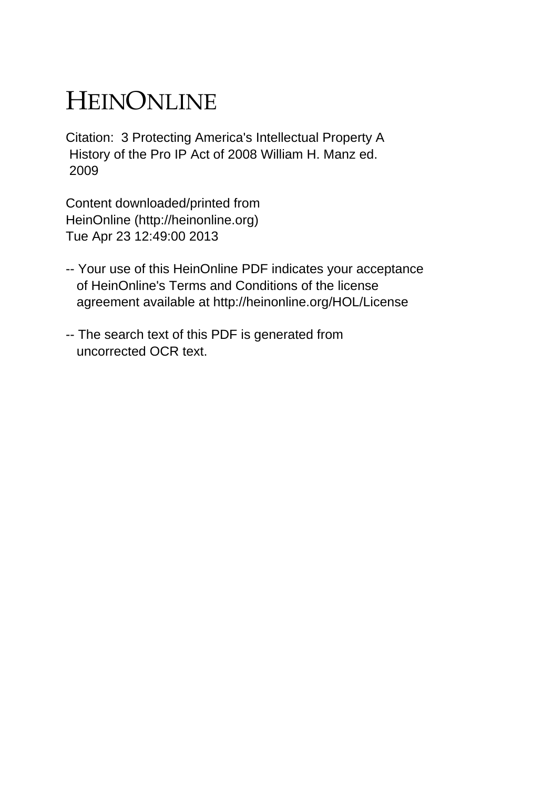## HEINONLINE

Citation: 3 Protecting America's Intellectual Property A History of the Pro IP Act of 2008 William H. Manz ed. 2009

Content downloaded/printed from HeinOnline (http://heinonline.org) Tue Apr 23 12:49:00 2013

- -- Your use of this HeinOnline PDF indicates your acceptance of HeinOnline's Terms and Conditions of the license agreement available at http://heinonline.org/HOL/License
- -- The search text of this PDF is generated from uncorrected OCR text.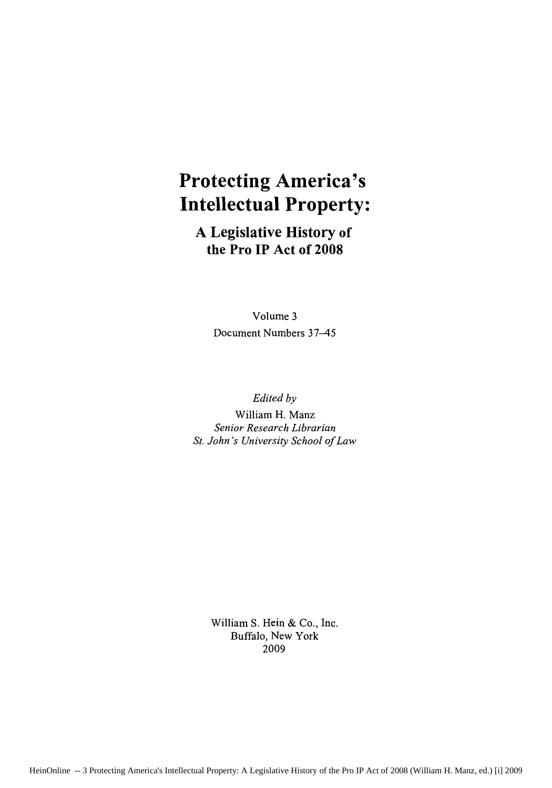## **Protecting America's Intellectual Property:**

**A Legislative History of the Pro IP Act of 2008**

> Volume **3** Document Numbers 37-45

*Edited by* William H. Manz *Senior Research Librarian St. John's University School of Law*

> William S. Hein & Co., Inc. Buffalo, New York 2009